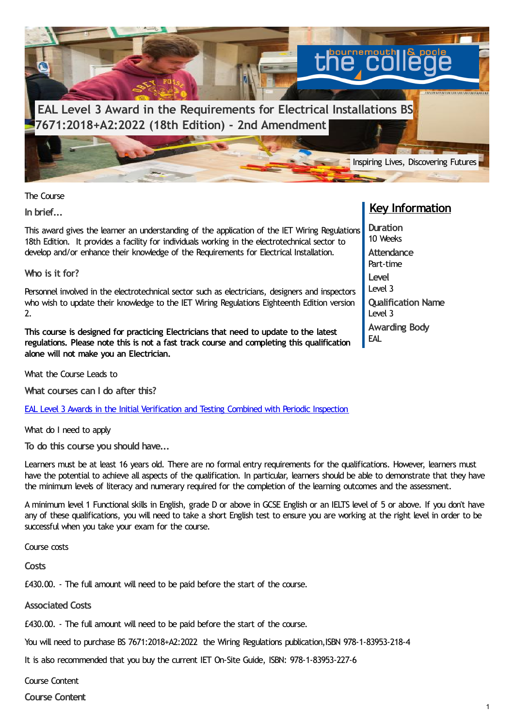

The Course

**In brief...**

This award gives the learner an understanding of the application of the IET Wiring Regulations 18th Edition. It provides a facility for individuals working in the electrotechnical sector to develop and/or enhance their knowledge of the Requirements for Electrical Installation.

**Who is it for?**

Personnel involved in the electrotechnical sector such as electricians, designers and inspectors who wish to update their knowledge to the IET Wiring Regulations Eighteenth Edition version 2.

**This course is designed for practicing Electricians that need to update to the latest regulations. Please note this is not a fast track course and completing this qualification alone will not make you an Electrician.**

What the Course Leads to

**What courses can I do after this?**

EAL Level 3 Awards in the Initial [Verification](https://www.thecollege.co.uk/courses/eal-level-3-awards-initial-verification-and-testing-combined-periodic-inspection) and Testing Combined with Periodic Inspection

What do I need to apply

**To do this course you should have...**

Learners must be at least 16 years old. There are no formal entry requirements for the qualifications. However, learners must have the potential to achieve all aspects of the qualification. In particular, learners should be able to demonstrate that they have the minimum levels of literacy and numerary required for the completion of the learning outcomes and the assessment.

A minimum level 1 Functional skills in English, grade D or above in GCSE English or an IELTS level of 5 or above. If you don't have any of these qualifications, you will need to take a short English test to ensure you are working at the right level in order to be successful when you take your exam for the course.

Course costs

**Costs**

£430.00. - The full amount will need to be paid before the start of the course.

**Associated Costs**

£430.00. - The full amount will need to be paid before the start of the course.

You will need to purchase BS 7671:2018+A2:2022 the Wiring Regulations publication,ISBN 978-1-83953-218-4

It is also recommended that you buy the current IET On-Site Guide, ISBN: 978-1-83953-227-6

Course Content

**Course Content**

## **Key Information**

**Duration** 10 Weeks **Attendance** Part-time **Level** Level 3 **Qualification Name** Level 3 **Awarding Body** EAL